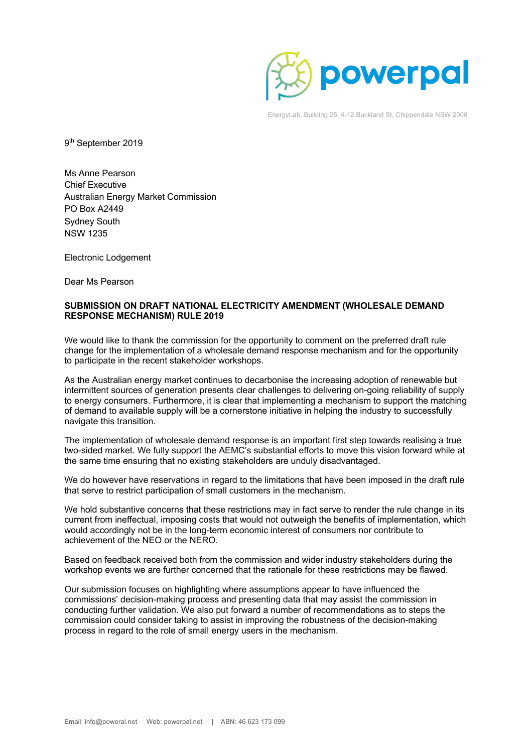

EnergyLab, Building 25, 4-12 Buckland St, Chippendale NSW 2008

9<sup>th</sup> September 2019

Ms Anne Pearson Chief Executive Australian Energy Market Commission PO Box A2449 Sydney South NSW 1235

Electronic Lodgement

Dear Ms Pearson

#### **SUBMISSION ON DRAFT NATIONAL ELECTRICITY AMENDMENT (WHOLESALE DEMAND RESPONSE MECHANISM) RULE 2019**

We would like to thank the commission for the opportunity to comment on the preferred draft rule change for the implementation of a wholesale demand response mechanism and for the opportunity to participate in the recent stakeholder workshops.

As the Australian energy market continues to decarbonise the increasing adoption of renewable but intermittent sources of generation presents clear challenges to delivering on-going reliability of supply to energy consumers. Furthermore, it is clear that implementing a mechanism to support the matching of demand to available supply will be a cornerstone initiative in helping the industry to successfully navigate this transition.

The implementation of wholesale demand response is an important first step towards realising a true two-sided market. We fully support the AEMC's substantial efforts to move this vision forward while at the same time ensuring that no existing stakeholders are unduly disadvantaged.

We do however have reservations in regard to the limitations that have been imposed in the draft rule that serve to restrict participation of small customers in the mechanism.

We hold substantive concerns that these restrictions may in fact serve to render the rule change in its current from ineffectual, imposing costs that would not outweigh the benefits of implementation, which would accordingly not be in the long-term economic interest of consumers nor contribute to achievement of the NEO or the NERO.

Based on feedback received both from the commission and wider industry stakeholders during the workshop events we are further concerned that the rationale for these restrictions may be flawed.

Our submission focuses on highlighting where assumptions appear to have influenced the commissions' decision-making process and presenting data that may assist the commission in conducting further validation. We also put forward a number of recommendations as to steps the commission could consider taking to assist in improving the robustness of the decision-making process in regard to the role of small energy users in the mechanism.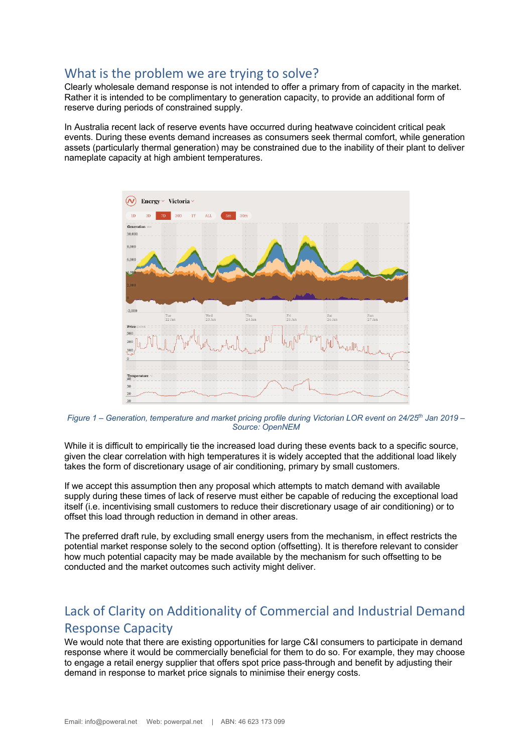## What is the problem we are trying to solve?

Clearly wholesale demand response is not intended to offer a primary from of capacity in the market. Rather it is intended to be complimentary to generation capacity, to provide an additional form of reserve during periods of constrained supply.

In Australia recent lack of reserve events have occurred during heatwave coincident critical peak events. During these events demand increases as consumers seek thermal comfort, while generation assets (particularly thermal generation) may be constrained due to the inability of their plant to deliver nameplate capacity at high ambient temperatures.



*Figure 1 – Generation, temperature and market pricing profile during Victorian LOR event on 24/25th Jan 2019 – Source: OpenNEM*

While it is difficult to empirically tie the increased load during these events back to a specific source, given the clear correlation with high temperatures it is widely accepted that the additional load likely takes the form of discretionary usage of air conditioning, primary by small customers.

If we accept this assumption then any proposal which attempts to match demand with available supply during these times of lack of reserve must either be capable of reducing the exceptional load itself (i.e. incentivising small customers to reduce their discretionary usage of air conditioning) or to offset this load through reduction in demand in other areas.

The preferred draft rule, by excluding small energy users from the mechanism, in effect restricts the potential market response solely to the second option (offsetting). It is therefore relevant to consider how much potential capacity may be made available by the mechanism for such offsetting to be conducted and the market outcomes such activity might deliver.

# Lack of Clarity on Additionality of Commercial and Industrial Demand Response Capacity

We would note that there are existing opportunities for large C&I consumers to participate in demand response where it would be commercially beneficial for them to do so. For example, they may choose to engage a retail energy supplier that offers spot price pass-through and benefit by adjusting their demand in response to market price signals to minimise their energy costs.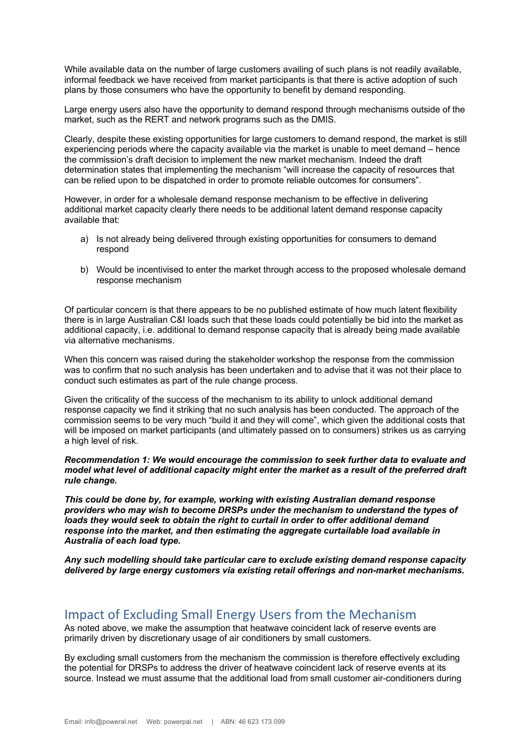While available data on the number of large customers availing of such plans is not readily available, informal feedback we have received from market participants is that there is active adoption of such plans by those consumers who have the opportunity to benefit by demand responding.

Large energy users also have the opportunity to demand respond through mechanisms outside of the market, such as the RERT and network programs such as the DMIS.

Clearly, despite these existing opportunities for large customers to demand respond, the market is still experiencing periods where the capacity available via the market is unable to meet demand – hence the commission's draft decision to implement the new market mechanism. Indeed the draft determination states that implementing the mechanism "will increase the capacity of resources that can be relied upon to be dispatched in order to promote reliable outcomes for consumers".

However, in order for a wholesale demand response mechanism to be effective in delivering additional market capacity clearly there needs to be additional latent demand response capacity available that:

- a) Is not already being delivered through existing opportunities for consumers to demand respond
- b) Would be incentivised to enter the market through access to the proposed wholesale demand response mechanism

Of particular concern is that there appears to be no published estimate of how much latent flexibility there is in large Australian C&I loads such that these loads could potentially be bid into the market as additional capacity, i.e. additional to demand response capacity that is already being made available via alternative mechanisms.

When this concern was raised during the stakeholder workshop the response from the commission was to confirm that no such analysis has been undertaken and to advise that it was not their place to conduct such estimates as part of the rule change process.

Given the criticality of the success of the mechanism to its ability to unlock additional demand response capacity we find it striking that no such analysis has been conducted. The approach of the commission seems to be very much "build it and they will come", which given the additional costs that will be imposed on market participants (and ultimately passed on to consumers) strikes us as carrying a high level of risk.

*Recommendation 1: We would encourage the commission to seek further data to evaluate and model what level of additional capacity might enter the market as a result of the preferred draft rule change.*

*This could be done by, for example, working with existing Australian demand response providers who may wish to become DRSPs under the mechanism to understand the types of loads they would seek to obtain the right to curtail in order to offer additional demand response into the market, and then estimating the aggregate curtailable load available in Australia of each load type.*

*Any such modelling should take particular care to exclude existing demand response capacity delivered by large energy customers via existing retail offerings and non-market mechanisms.*

# Impact of Excluding Small Energy Users from the Mechanism

As noted above, we make the assumption that heatwave coincident lack of reserve events are primarily driven by discretionary usage of air conditioners by small customers.

By excluding small customers from the mechanism the commission is therefore effectively excluding the potential for DRSPs to address the driver of heatwave coincident lack of reserve events at its source. Instead we must assume that the additional load from small customer air-conditioners during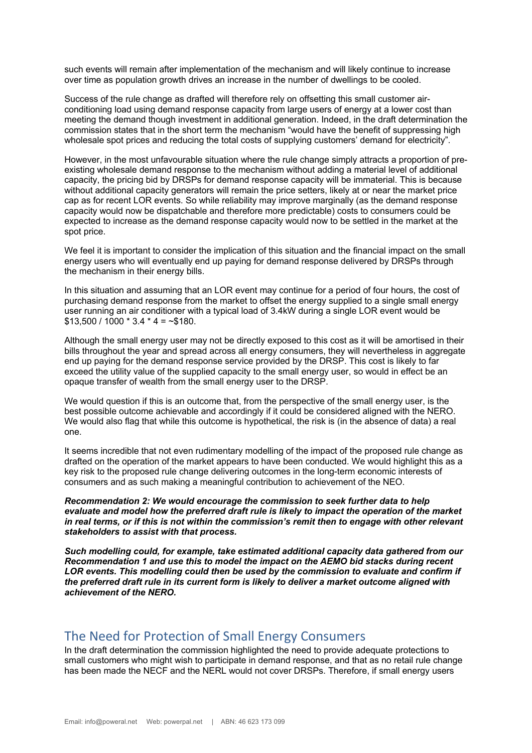such events will remain after implementation of the mechanism and will likely continue to increase over time as population growth drives an increase in the number of dwellings to be cooled.

Success of the rule change as drafted will therefore rely on offsetting this small customer airconditioning load using demand response capacity from large users of energy at a lower cost than meeting the demand though investment in additional generation. Indeed, in the draft determination the commission states that in the short term the mechanism "would have the benefit of suppressing high wholesale spot prices and reducing the total costs of supplying customers' demand for electricity".

However, in the most unfavourable situation where the rule change simply attracts a proportion of preexisting wholesale demand response to the mechanism without adding a material level of additional capacity, the pricing bid by DRSPs for demand response capacity will be immaterial. This is because without additional capacity generators will remain the price setters, likely at or near the market price cap as for recent LOR events. So while reliability may improve marginally (as the demand response capacity would now be dispatchable and therefore more predictable) costs to consumers could be expected to increase as the demand response capacity would now to be settled in the market at the spot price.

We feel it is important to consider the implication of this situation and the financial impact on the small energy users who will eventually end up paying for demand response delivered by DRSPs through the mechanism in their energy bills.

In this situation and assuming that an LOR event may continue for a period of four hours, the cost of purchasing demand response from the market to offset the energy supplied to a single small energy user running an air conditioner with a typical load of 3.4kW during a single LOR event would be  $$13,500 / 1000 * 3.4 * 4 = -$180.$ 

Although the small energy user may not be directly exposed to this cost as it will be amortised in their bills throughout the year and spread across all energy consumers, they will nevertheless in aggregate end up paying for the demand response service provided by the DRSP. This cost is likely to far exceed the utility value of the supplied capacity to the small energy user, so would in effect be an opaque transfer of wealth from the small energy user to the DRSP.

We would question if this is an outcome that, from the perspective of the small energy user, is the best possible outcome achievable and accordingly if it could be considered aligned with the NERO. We would also flag that while this outcome is hypothetical, the risk is (in the absence of data) a real one.

It seems incredible that not even rudimentary modelling of the impact of the proposed rule change as drafted on the operation of the market appears to have been conducted. We would highlight this as a key risk to the proposed rule change delivering outcomes in the long-term economic interests of consumers and as such making a meaningful contribution to achievement of the NEO.

*Recommendation 2: We would encourage the commission to seek further data to help evaluate and model how the preferred draft rule is likely to impact the operation of the market in real terms, or if this is not within the commission's remit then to engage with other relevant stakeholders to assist with that process.*

*Such modelling could, for example, take estimated additional capacity data gathered from our Recommendation 1 and use this to model the impact on the AEMO bid stacks during recent LOR events. This modelling could then be used by the commission to evaluate and confirm if the preferred draft rule in its current form is likely to deliver a market outcome aligned with achievement of the NERO.*

### The Need for Protection of Small Energy Consumers

In the draft determination the commission highlighted the need to provide adequate protections to small customers who might wish to participate in demand response, and that as no retail rule change has been made the NECF and the NERL would not cover DRSPs. Therefore, if small energy users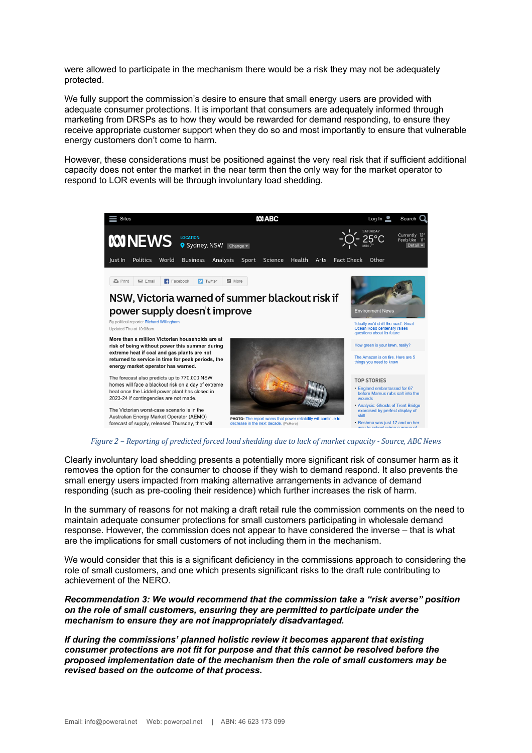were allowed to participate in the mechanism there would be a risk they may not be adequately protected.

We fully support the commission's desire to ensure that small energy users are provided with adequate consumer protections. It is important that consumers are adequately informed through marketing from DRSPs as to how they would be rewarded for demand responding, to ensure they receive appropriate customer support when they do so and most importantly to ensure that vulnerable energy customers don't come to harm.

However, these considerations must be positioned against the very real risk that if sufficient additional capacity does not enter the market in the near term then the only way for the market operator to respond to LOR events will be through involuntary load shedding.



#### *Figure* 2 – *Reporting of predicted forced load shedding due to lack of market capacity* - *Source, ABC News*

Clearly involuntary load shedding presents a potentially more significant risk of consumer harm as it removes the option for the consumer to choose if they wish to demand respond. It also prevents the small energy users impacted from making alternative arrangements in advance of demand responding (such as pre-cooling their residence) which further increases the risk of harm.

In the summary of reasons for not making a draft retail rule the commission comments on the need to maintain adequate consumer protections for small customers participating in wholesale demand response. However, the commission does not appear to have considered the inverse – that is what are the implications for small customers of not including them in the mechanism.

We would consider that this is a significant deficiency in the commissions approach to considering the role of small customers, and one which presents significant risks to the draft rule contributing to achievement of the NERO.

*Recommendation 3: We would recommend that the commission take a "risk averse" position on the role of small customers, ensuring they are permitted to participate under the mechanism to ensure they are not inappropriately disadvantaged.*

*If during the commissions' planned holistic review it becomes apparent that existing consumer protections are not fit for purpose and that this cannot be resolved before the proposed implementation date of the mechanism then the role of small customers may be revised based on the outcome of that process.*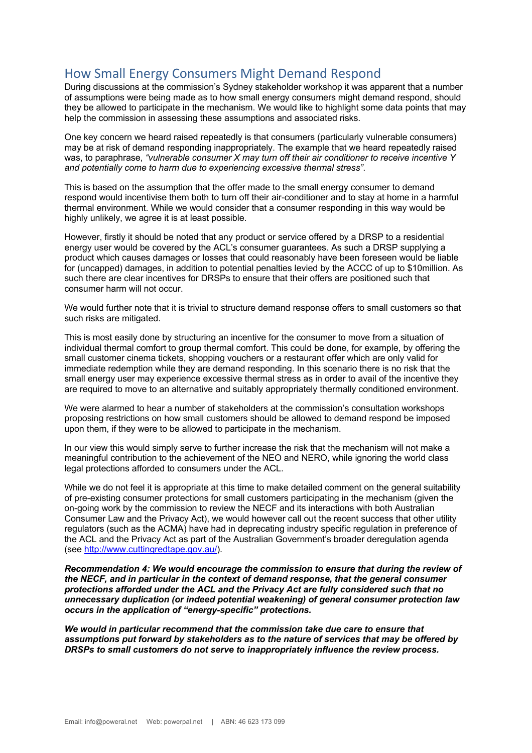# How Small Energy Consumers Might Demand Respond

During discussions at the commission's Sydney stakeholder workshop it was apparent that a number of assumptions were being made as to how small energy consumers might demand respond, should they be allowed to participate in the mechanism. We would like to highlight some data points that may help the commission in assessing these assumptions and associated risks.

One key concern we heard raised repeatedly is that consumers (particularly vulnerable consumers) may be at risk of demand responding inappropriately. The example that we heard repeatedly raised was, to paraphrase, *"vulnerable consumer X may turn off their air conditioner to receive incentive Y and potentially come to harm due to experiencing excessive thermal stress"*.

This is based on the assumption that the offer made to the small energy consumer to demand respond would incentivise them both to turn off their air-conditioner and to stay at home in a harmful thermal environment. While we would consider that a consumer responding in this way would be highly unlikely, we agree it is at least possible.

However, firstly it should be noted that any product or service offered by a DRSP to a residential energy user would be covered by the ACL's consumer guarantees. As such a DRSP supplying a product which causes damages or losses that could reasonably have been foreseen would be liable for (uncapped) damages, in addition to potential penalties levied by the ACCC of up to \$10million. As such there are clear incentives for DRSPs to ensure that their offers are positioned such that consumer harm will not occur.

We would further note that it is trivial to structure demand response offers to small customers so that such risks are mitigated.

This is most easily done by structuring an incentive for the consumer to move from a situation of individual thermal comfort to group thermal comfort. This could be done, for example, by offering the small customer cinema tickets, shopping vouchers or a restaurant offer which are only valid for immediate redemption while they are demand responding. In this scenario there is no risk that the small energy user may experience excessive thermal stress as in order to avail of the incentive they are required to move to an alternative and suitably appropriately thermally conditioned environment.

We were alarmed to hear a number of stakeholders at the commission's consultation workshops proposing restrictions on how small customers should be allowed to demand respond be imposed upon them, if they were to be allowed to participate in the mechanism.

In our view this would simply serve to further increase the risk that the mechanism will not make a meaningful contribution to the achievement of the NEO and NERO, while ignoring the world class legal protections afforded to consumers under the ACL.

While we do not feel it is appropriate at this time to make detailed comment on the general suitability of pre-existing consumer protections for small customers participating in the mechanism (given the on-going work by the commission to review the NECF and its interactions with both Australian Consumer Law and the Privacy Act), we would however call out the recent success that other utility regulators (such as the ACMA) have had in deprecating industry specific regulation in preference of the ACL and the Privacy Act as part of the Australian Government's broader deregulation agenda (see http://www.cuttingredtape.gov.au/).

*Recommendation 4: We would encourage the commission to ensure that during the review of the NECF, and in particular in the context of demand response, that the general consumer protections afforded under the ACL and the Privacy Act are fully considered such that no unnecessary duplication (or indeed potential weakening) of general consumer protection law occurs in the application of "energy-specific" protections.*

*We would in particular recommend that the commission take due care to ensure that assumptions put forward by stakeholders as to the nature of services that may be offered by DRSPs to small customers do not serve to inappropriately influence the review process.*